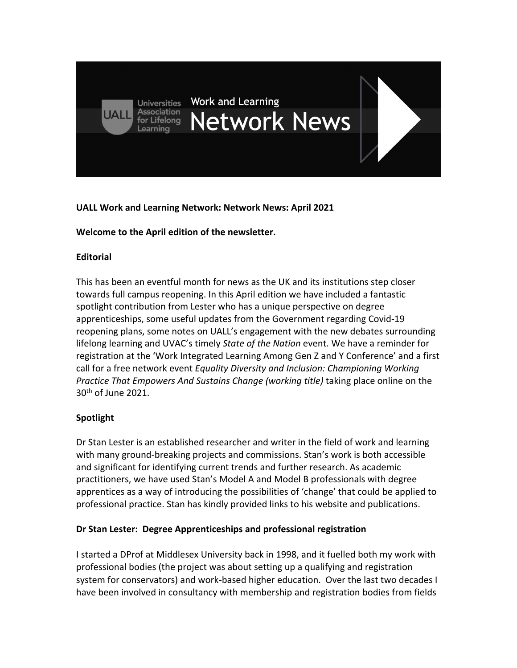

## **UALL Work and Learning Network: Network News: April 2021**

### **Welcome to the April edition of the newsletter.**

### **Editorial**

This has been an eventful month for news as the UK and its institutions step closer towards full campus reopening. In this April edition we have included a fantastic spotlight contribution from Lester who has a unique perspective on degree apprenticeships, some useful updates from the Government regarding Covid-19 reopening plans, some notes on UALL's engagement with the new debates surrounding lifelong learning and UVAC's timely *State of the Nation* event. We have a reminder for registration at the 'Work Integrated Learning Among Gen Z and Y Conference' and a first call for a free network event *Equality Diversity and Inclusion: Championing Working Practice That Empowers And Sustains Change (working title)* taking place online on the 30th of June 2021.

# **Spotlight**

Dr Stan Lester is an established researcher and writer in the field of work and learning with many ground-breaking projects and commissions. Stan's work is both accessible and significant for identifying current trends and further research. As academic practitioners, we have used Stan's Model A and Model B professionals with degree apprentices as a way of introducing the possibilities of 'change' that could be applied to professional practice. Stan has kindly provided links to his website and publications.

# **Dr Stan Lester: Degree Apprenticeships and professional registration**

I started a DProf at Middlesex University back in 1998, and it fuelled both my work with professional bodies (the project was about setting up a qualifying and registration system for conservators) and work-based higher education. Over the last two decades I have been involved in consultancy with membership and registration bodies from fields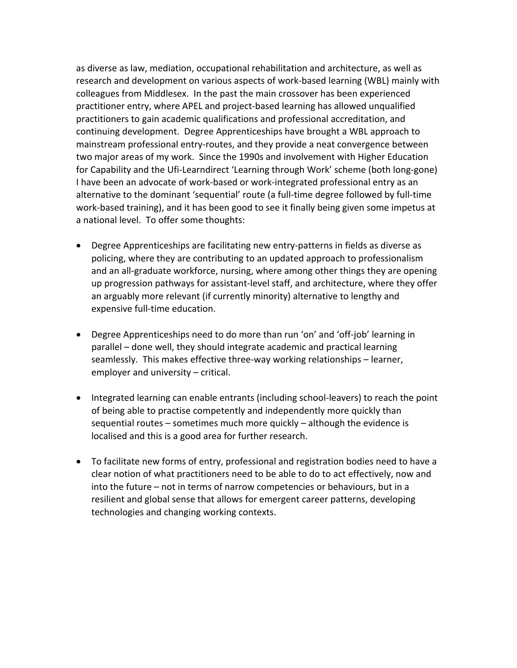as diverse as law, mediation, occupational rehabilitation and architecture, as well as research and development on various aspects of work-based learning (WBL) mainly with colleagues from Middlesex. In the past the main crossover has been experienced practitioner entry, where APEL and project-based learning has allowed unqualified practitioners to gain academic qualifications and professional accreditation, and continuing development. Degree Apprenticeships have brought a WBL approach to mainstream professional entry-routes, and they provide a neat convergence between two major areas of my work. Since the 1990s and involvement with Higher Education for Capability and the Ufi-Learndirect 'Learning through Work' scheme (both long-gone) I have been an advocate of work-based or work-integrated professional entry as an alternative to the dominant 'sequential' route (a full-time degree followed by full-time work-based training), and it has been good to see it finally being given some impetus at a national level. To offer some thoughts:

- Degree Apprenticeships are facilitating new entry-patterns in fields as diverse as policing, where they are contributing to an updated approach to professionalism and an all-graduate workforce, nursing, where among other things they are opening up progression pathways for assistant-level staff, and architecture, where they offer an arguably more relevant (if currently minority) alternative to lengthy and expensive full-time education.
- Degree Apprenticeships need to do more than run 'on' and 'off-job' learning in parallel – done well, they should integrate academic and practical learning seamlessly. This makes effective three-way working relationships – learner, employer and university – critical.
- Integrated learning can enable entrants (including school-leavers) to reach the point of being able to practise competently and independently more quickly than sequential routes – sometimes much more quickly – although the evidence is localised and this is a good area for further research.
- To facilitate new forms of entry, professional and registration bodies need to have a clear notion of what practitioners need to be able to do to act effectively, now and into the future – not in terms of narrow competencies or behaviours, but in a resilient and global sense that allows for emergent career patterns, developing technologies and changing working contexts.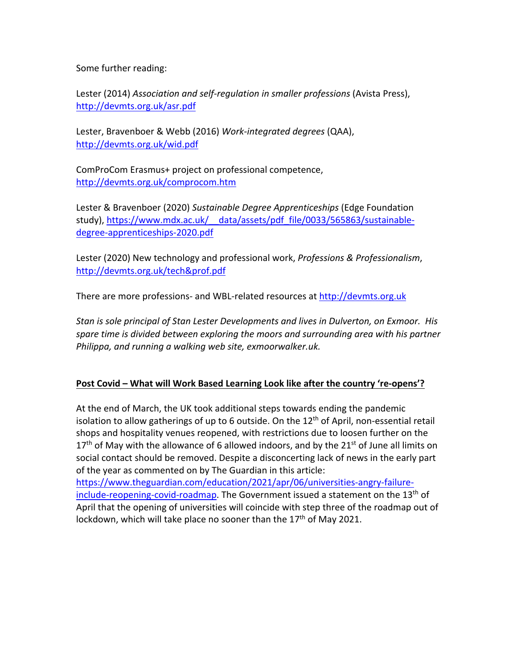Some further reading:

Lester (2014) *Association and self-regulation in smaller professions* (Avista Press), http://devmts.org.uk/asr.pdf

Lester, Bravenboer & Webb (2016) *Work-integrated degrees* (QAA), http://devmts.org.uk/wid.pdf

ComProCom Erasmus+ project on professional competence, http://devmts.org.uk/comprocom.htm

Lester & Bravenboer (2020) *Sustainable Degree Apprenticeships* (Edge Foundation study), https://www.mdx.ac.uk/\_\_data/assets/pdf\_file/0033/565863/sustainabledegree-apprenticeships-2020.pdf

Lester (2020) New technology and professional work, *Professions & Professionalism*, http://devmts.org.uk/tech&prof.pdf

There are more professions- and WBL-related resources at http://devmts.org.uk

*Stan is sole principal of Stan Lester Developments and lives in Dulverton, on Exmoor. His spare time is divided between exploring the moors and surrounding area with his partner Philippa, and running a walking web site, exmoorwalker.uk.* 

### **Post Covid – What will Work Based Learning Look like after the country 're-opens'?**

At the end of March, the UK took additional steps towards ending the pandemic isolation to allow gatherings of up to 6 outside. On the  $12<sup>th</sup>$  of April, non-essential retail shops and hospitality venues reopened, with restrictions due to loosen further on the  $17<sup>th</sup>$  of May with the allowance of 6 allowed indoors, and by the 21<sup>st</sup> of June all limits on social contact should be removed. Despite a disconcerting lack of news in the early part of the year as commented on by The Guardian in this article:

https://www.theguardian.com/education/2021/apr/06/universities-angry-failureinclude-reopening-covid-roadmap. The Government issued a statement on the  $13<sup>th</sup>$  of April that the opening of universities will coincide with step three of the roadmap out of lockdown, which will take place no sooner than the  $17<sup>th</sup>$  of May 2021.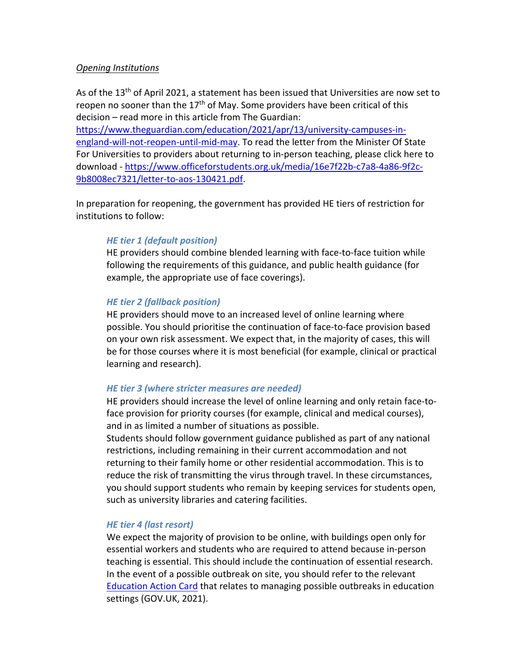#### *Opening Institutions*

As of the  $13<sup>th</sup>$  of April 2021, a statement has been issued that Universities are now set to reopen no sooner than the  $17<sup>th</sup>$  of May. Some providers have been critical of this decision – read more in this article from The Guardian:

https://www.theguardian.com/education/2021/apr/13/university-campuses-inengland-will-not-reopen-until-mid-may. To read the letter from the Minister Of State For Universities to providers about returning to in-person teaching, please click here to download - https://www.officeforstudents.org.uk/media/16e7f22b-c7a8-4a86-9f2c-9b8008ec7321/letter-to-aos-130421.pdf.

In preparation for reopening, the government has provided HE tiers of restriction for institutions to follow:

#### *HE tier 1 (default position)*

HE providers should combine blended learning with face-to-face tuition while following the requirements of this guidance, and public health guidance (for example, the appropriate use of face coverings).

#### *HE tier 2 (fallback position)*

HE providers should move to an increased level of online learning where possible. You should prioritise the continuation of face-to-face provision based on your own risk assessment. We expect that, in the majority of cases, this will be for those courses where it is most beneficial (for example, clinical or practical learning and research).

#### *HE tier 3 (where stricter measures are needed)*

HE providers should increase the level of online learning and only retain face-toface provision for priority courses (for example, clinical and medical courses), and in as limited a number of situations as possible.

Students should follow government guidance published as part of any national restrictions, including remaining in their current accommodation and not returning to their family home or other residential accommodation. This is to reduce the risk of transmitting the virus through travel. In these circumstances, you should support students who remain by keeping services for students open, such as university libraries and catering facilities.

#### *HE tier 4 (last resort)*

We expect the majority of provision to be online, with buildings open only for essential workers and students who are required to attend because in-person teaching is essential. This should include the continuation of essential research. In the event of a possible outbreak on site, you should refer to the relevant Education Action Card that relates to managing possible outbreaks in education settings (GOV.UK, 2021).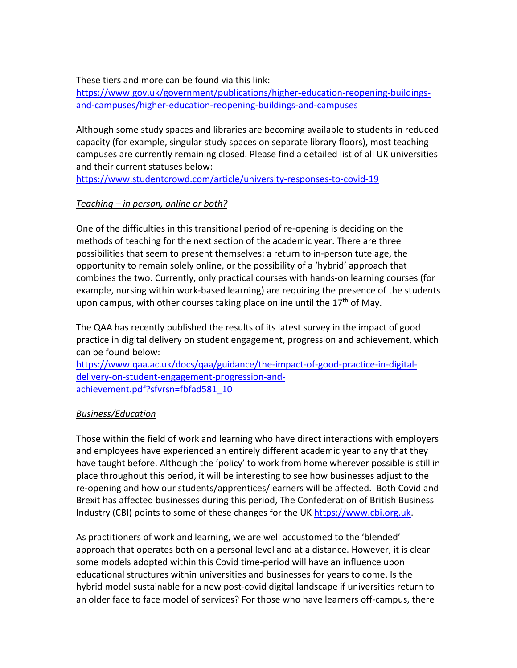## These tiers and more can be found via this link:

https://www.gov.uk/government/publications/higher-education-reopening-buildingsand-campuses/higher-education-reopening-buildings-and-campuses

Although some study spaces and libraries are becoming available to students in reduced capacity (for example, singular study spaces on separate library floors), most teaching campuses are currently remaining closed. Please find a detailed list of all UK universities and their current statuses below:

https://www.studentcrowd.com/article/university-responses-to-covid-19

# *Teaching – in person, online or both?*

One of the difficulties in this transitional period of re-opening is deciding on the methods of teaching for the next section of the academic year. There are three possibilities that seem to present themselves: a return to in-person tutelage, the opportunity to remain solely online, or the possibility of a 'hybrid' approach that combines the two. Currently, only practical courses with hands-on learning courses (for example, nursing within work-based learning) are requiring the presence of the students upon campus, with other courses taking place online until the  $17<sup>th</sup>$  of May.

The QAA has recently published the results of its latest survey in the impact of good practice in digital delivery on student engagement, progression and achievement, which can be found below:

https://www.qaa.ac.uk/docs/qaa/guidance/the-impact-of-good-practice-in-digitaldelivery-on-student-engagement-progression-andachievement.pdf?sfvrsn=fbfad581\_10

# *Business/Education*

Those within the field of work and learning who have direct interactions with employers and employees have experienced an entirely different academic year to any that they have taught before. Although the 'policy' to work from home wherever possible is still in place throughout this period, it will be interesting to see how businesses adjust to the re-opening and how our students/apprentices/learners will be affected. Both Covid and Brexit has affected businesses during this period, The Confederation of British Business Industry (CBI) points to some of these changes for the UK https://www.cbi.org.uk.

As practitioners of work and learning, we are well accustomed to the 'blended' approach that operates both on a personal level and at a distance. However, it is clear some models adopted within this Covid time-period will have an influence upon educational structures within universities and businesses for years to come. Is the hybrid model sustainable for a new post-covid digital landscape if universities return to an older face to face model of services? For those who have learners off-campus, there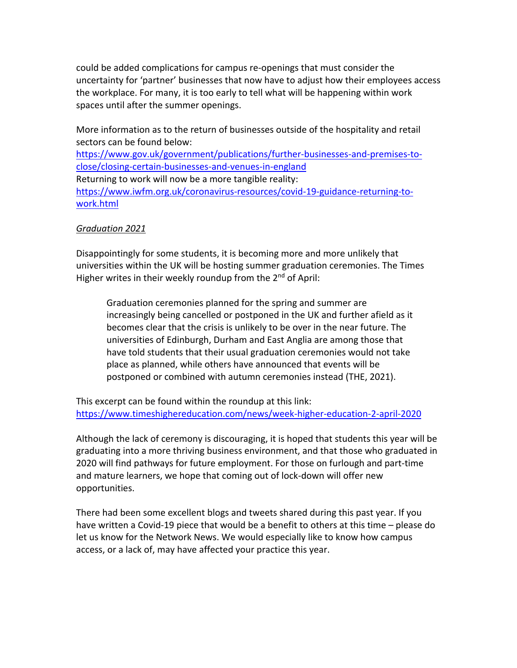could be added complications for campus re-openings that must consider the uncertainty for 'partner' businesses that now have to adjust how their employees access the workplace. For many, it is too early to tell what will be happening within work spaces until after the summer openings.

More information as to the return of businesses outside of the hospitality and retail sectors can be found below: https://www.gov.uk/government/publications/further-businesses-and-premises-toclose/closing-certain-businesses-and-venues-in-england Returning to work will now be a more tangible reality: https://www.iwfm.org.uk/coronavirus-resources/covid-19-guidance-returning-towork.html

### *Graduation 2021*

Disappointingly for some students, it is becoming more and more unlikely that universities within the UK will be hosting summer graduation ceremonies. The Times Higher writes in their weekly roundup from the 2<sup>nd</sup> of April:

Graduation ceremonies planned for the spring and summer are increasingly being cancelled or postponed in the UK and further afield as it becomes clear that the crisis is unlikely to be over in the near future. The universities of Edinburgh, Durham and East Anglia are among those that have told students that their usual graduation ceremonies would not take place as planned, while others have announced that events will be postponed or combined with autumn ceremonies instead (THE, 2021).

This excerpt can be found within the roundup at this link: https://www.timeshighereducation.com/news/week-higher-education-2-april-2020

Although the lack of ceremony is discouraging, it is hoped that students this year will be graduating into a more thriving business environment, and that those who graduated in 2020 will find pathways for future employment. For those on furlough and part-time and mature learners, we hope that coming out of lock-down will offer new opportunities.

There had been some excellent blogs and tweets shared during this past year. If you have written a Covid-19 piece that would be a benefit to others at this time – please do let us know for the Network News. We would especially like to know how campus access, or a lack of, may have affected your practice this year.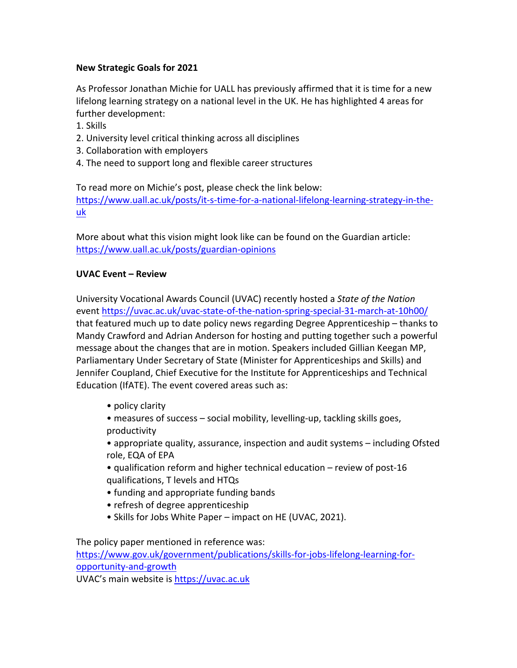# **New Strategic Goals for 2021**

As Professor Jonathan Michie for UALL has previously affirmed that it is time for a new lifelong learning strategy on a national level in the UK. He has highlighted 4 areas for further development:

- 1. Skills
- 2. University level critical thinking across all disciplines
- 3. Collaboration with employers
- 4. The need to support long and flexible career structures

To read more on Michie's post, please check the link below: https://www.uall.ac.uk/posts/it-s-time-for-a-national-lifelong-learning-strategy-in-theuk

More about what this vision might look like can be found on the Guardian article: https://www.uall.ac.uk/posts/guardian-opinions

## **UVAC Event – Review**

University Vocational Awards Council (UVAC) recently hosted a *State of the Nation* event https://uvac.ac.uk/uvac-state-of-the-nation-spring-special-31-march-at-10h00/ that featured much up to date policy news regarding Degree Apprenticeship – thanks to Mandy Crawford and Adrian Anderson for hosting and putting together such a powerful message about the changes that are in motion. Speakers included Gillian Keegan MP, Parliamentary Under Secretary of State (Minister for Apprenticeships and Skills) and Jennifer Coupland, Chief Executive for the Institute for Apprenticeships and Technical Education (IfATE). The event covered areas such as:

- policy clarity
- measures of success social mobility, levelling-up, tackling skills goes, productivity
- appropriate quality, assurance, inspection and audit systems including Ofsted role, EQA of EPA
- qualification reform and higher technical education review of post-16 qualifications, T levels and HTQs
- funding and appropriate funding bands
- refresh of degree apprenticeship
- Skills for Jobs White Paper impact on HE (UVAC, 2021).

The policy paper mentioned in reference was:

https://www.gov.uk/government/publications/skills-for-jobs-lifelong-learning-foropportunity-and-growth

UVAC's main website is https://uvac.ac.uk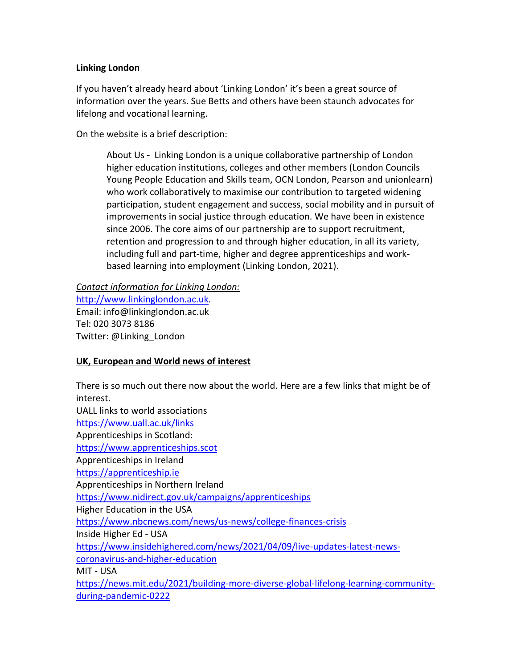## **Linking London**

If you haven't already heard about 'Linking London' it's been a great source of information over the years. Sue Betts and others have been staunch advocates for lifelong and vocational learning.

On the website is a brief description:

About Us **-** Linking London is a unique collaborative partnership of London higher education institutions, colleges and other members (London Councils Young People Education and Skills team, OCN London, Pearson and unionlearn) who work collaboratively to maximise our contribution to targeted widening participation, student engagement and success, social mobility and in pursuit of improvements in social justice through education. We have been in existence since 2006. The core aims of our partnership are to support recruitment, retention and progression to and through higher education, in all its variety, including full and part-time, higher and degree apprenticeships and workbased learning into employment (Linking London, 2021).

*Contact information for Linking London:* http://www.linkinglondon.ac.uk. Email: info@linkinglondon.ac.uk Tel: 020 3073 8186 Twitter: @Linking\_London

# **UK, European and World news of interest**

There is so much out there now about the world. Here are a few links that might be of interest. UALL links to world associations https://www.uall.ac.uk/links Apprenticeships in Scotland: https://www.apprenticeships.scot Apprenticeships in Ireland https://apprenticeship.ie Apprenticeships in Northern Ireland https://www.nidirect.gov.uk/campaigns/apprenticeships Higher Education in the USA https://www.nbcnews.com/news/us-news/college-finances-crisis Inside Higher Ed - USA https://www.insidehighered.com/news/2021/04/09/live-updates-latest-newscoronavirus-and-higher-education MIT - USA https://news.mit.edu/2021/building-more-diverse-global-lifelong-learning-communityduring-pandemic-0222